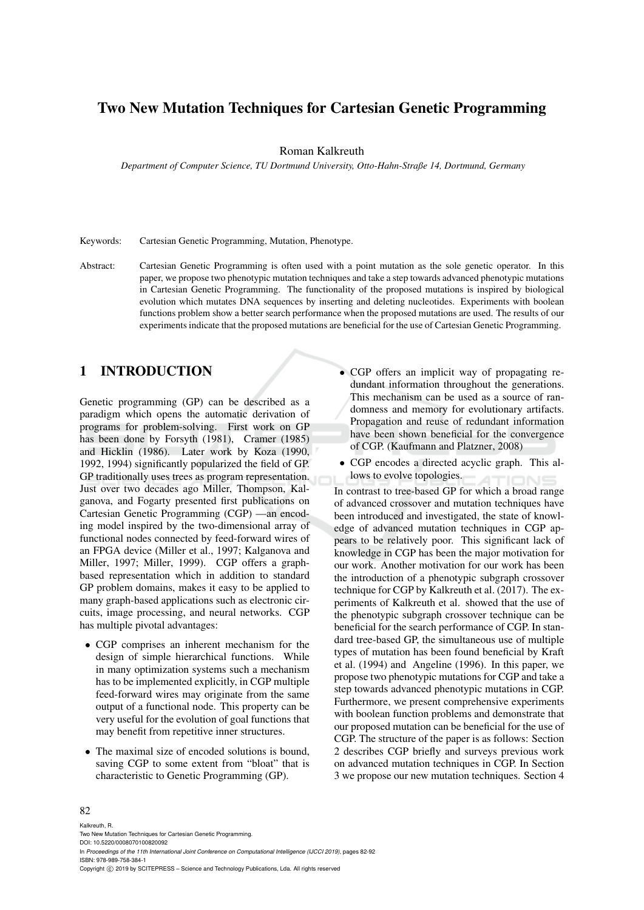# Two New Mutation Techniques for Cartesian Genetic Programming

Roman Kalkreuth

*Department of Computer Science, TU Dortmund University, Otto-Hahn-Straße 14, Dortmund, Germany*

Keywords: Cartesian Genetic Programming, Mutation, Phenotype.

Abstract: Cartesian Genetic Programming is often used with a point mutation as the sole genetic operator. In this paper, we propose two phenotypic mutation techniques and take a step towards advanced phenotypic mutations in Cartesian Genetic Programming. The functionality of the proposed mutations is inspired by biological evolution which mutates DNA sequences by inserting and deleting nucleotides. Experiments with boolean functions problem show a better search performance when the proposed mutations are used. The results of our experiments indicate that the proposed mutations are beneficial for the use of Cartesian Genetic Programming.

## 1 INTRODUCTION

Genetic programming (GP) can be described as a paradigm which opens the automatic derivation of programs for problem-solving. First work on GP has been done by Forsyth (1981), Cramer (1985) and Hicklin (1986). Later work by Koza (1990, 1992, 1994) significantly popularized the field of GP. GP traditionally uses trees as program representation. Just over two decades ago Miller, Thompson, Kalganova, and Fogarty presented first publications on Cartesian Genetic Programming (CGP) —an encoding model inspired by the two-dimensional array of functional nodes connected by feed-forward wires of an FPGA device (Miller et al., 1997; Kalganova and Miller, 1997; Miller, 1999). CGP offers a graphbased representation which in addition to standard GP problem domains, makes it easy to be applied to many graph-based applications such as electronic circuits, image processing, and neural networks. CGP has multiple pivotal advantages:

- CGP comprises an inherent mechanism for the design of simple hierarchical functions. While in many optimization systems such a mechanism has to be implemented explicitly, in CGP multiple feed-forward wires may originate from the same output of a functional node. This property can be very useful for the evolution of goal functions that may benefit from repetitive inner structures.
- The maximal size of encoded solutions is bound, saving CGP to some extent from "bloat" that is characteristic to Genetic Programming (GP).
- CGP offers an implicit way of propagating redundant information throughout the generations. This mechanism can be used as a source of randomness and memory for evolutionary artifacts. Propagation and reuse of redundant information have been shown beneficial for the convergence of CGP. (Kaufmann and Platzner, 2008)
- CGP encodes a directed acyclic graph. This allows to evolve topologies.

In contrast to tree-based GP for which a broad range of advanced crossover and mutation techniques have been introduced and investigated, the state of knowledge of advanced mutation techniques in CGP appears to be relatively poor. This significant lack of knowledge in CGP has been the major motivation for our work. Another motivation for our work has been the introduction of a phenotypic subgraph crossover technique for CGP by Kalkreuth et al. (2017). The experiments of Kalkreuth et al. showed that the use of the phenotypic subgraph crossover technique can be beneficial for the search performance of CGP. In standard tree-based GP, the simultaneous use of multiple types of mutation has been found beneficial by Kraft et al. (1994) and Angeline (1996). In this paper, we propose two phenotypic mutations for CGP and take a step towards advanced phenotypic mutations in CGP. Furthermore, we present comprehensive experiments with boolean function problems and demonstrate that our proposed mutation can be beneficial for the use of CGP. The structure of the paper is as follows: Section 2 describes CGP briefly and surveys previous work on advanced mutation techniques in CGP. In Section 3 we propose our new mutation techniques. Section 4

#### 82

Kalkreuth, R. Two New Mutation Techniques for Cartesian Genetic Programming. DOI: 10.5220/0008070100820092 In *Proceedings of the 11th International Joint Conference on Computational Intelligence (IJCCI 2019)*, pages 82-92 ISBN: 978-989-758-384-1 Copyright © 2019 by SCITEPRESS - Science and Technology Publications, Lda. All rights reserved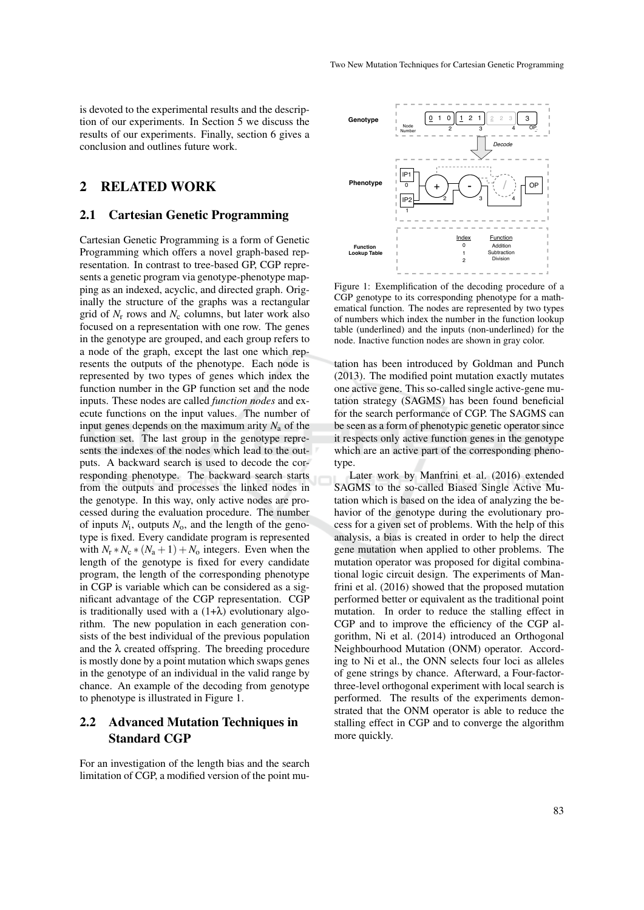is devoted to the experimental results and the description of our experiments. In Section 5 we discuss the results of our experiments. Finally, section 6 gives a conclusion and outlines future work.

## 2 RELATED WORK

### 2.1 Cartesian Genetic Programming

Cartesian Genetic Programming is a form of Genetic Programming which offers a novel graph-based representation. In contrast to tree-based GP, CGP represents a genetic program via genotype-phenotype mapping as an indexed, acyclic, and directed graph. Originally the structure of the graphs was a rectangular grid of  $N_r$  rows and  $N_c$  columns, but later work also focused on a representation with one row. The genes in the genotype are grouped, and each group refers to a node of the graph, except the last one which represents the outputs of the phenotype. Each node is represented by two types of genes which index the function number in the GP function set and the node inputs. These nodes are called *function nodes* and execute functions on the input values. The number of input genes depends on the maximum arity  $N_a$  of the function set. The last group in the genotype represents the indexes of the nodes which lead to the outputs. A backward search is used to decode the corresponding phenotype. The backward search starts from the outputs and processes the linked nodes in the genotype. In this way, only active nodes are processed during the evaluation procedure. The number of inputs  $N_i$ , outputs  $N_o$ , and the length of the genotype is fixed. Every candidate program is represented with  $N_r * N_c * (N_a + 1) + N_o$  integers. Even when the length of the genotype is fixed for every candidate program, the length of the corresponding phenotype in CGP is variable which can be considered as a significant advantage of the CGP representation. CGP is traditionally used with a  $(1+\lambda)$  evolutionary algorithm. The new population in each generation consists of the best individual of the previous population and the  $\lambda$  created offspring. The breeding procedure is mostly done by a point mutation which swaps genes in the genotype of an individual in the valid range by chance. An example of the decoding from genotype to phenotype is illustrated in Figure 1.

## 2.2 Advanced Mutation Techniques in Standard CGP

For an investigation of the length bias and the search limitation of CGP, a modified version of the point mu-



Figure 1: Exemplification of the decoding procedure of a CGP genotype to its corresponding phenotype for a mathematical function. The nodes are represented by two types of numbers which index the number in the function lookup table (underlined) and the inputs (non-underlined) for the node. Inactive function nodes are shown in gray color.

tation has been introduced by Goldman and Punch (2013). The modified point mutation exactly mutates one active gene. This so-called single active-gene mutation strategy (SAGMS) has been found beneficial for the search performance of CGP. The SAGMS can be seen as a form of phenotypic genetic operator since it respects only active function genes in the genotype which are an active part of the corresponding phenotype.

Later work by Manfrini et al. (2016) extended SAGMS to the so-called Biased Single Active Mutation which is based on the idea of analyzing the behavior of the genotype during the evolutionary process for a given set of problems. With the help of this analysis, a bias is created in order to help the direct gene mutation when applied to other problems. The mutation operator was proposed for digital combinational logic circuit design. The experiments of Manfrini et al. (2016) showed that the proposed mutation performed better or equivalent as the traditional point mutation. In order to reduce the stalling effect in CGP and to improve the efficiency of the CGP algorithm, Ni et al. (2014) introduced an Orthogonal Neighbourhood Mutation (ONM) operator. According to Ni et al., the ONN selects four loci as alleles of gene strings by chance. Afterward, a Four-factorthree-level orthogonal experiment with local search is performed. The results of the experiments demonstrated that the ONM operator is able to reduce the stalling effect in CGP and to converge the algorithm more quickly.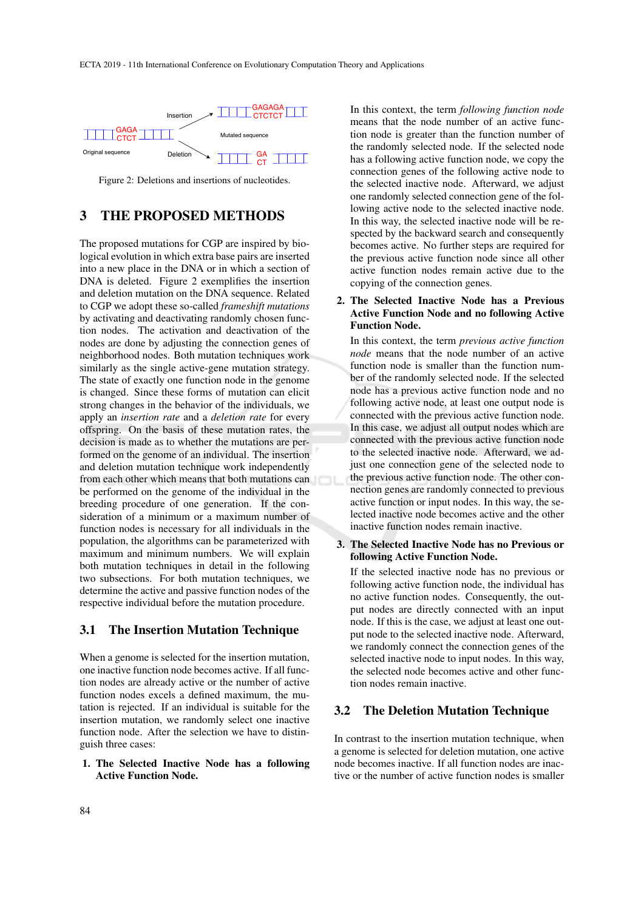

Figure 2: Deletions and insertions of nucleotides.

## 3 THE PROPOSED METHODS

The proposed mutations for CGP are inspired by biological evolution in which extra base pairs are inserted into a new place in the DNA or in which a section of DNA is deleted. Figure 2 exemplifies the insertion and deletion mutation on the DNA sequence. Related to CGP we adopt these so-called *frameshift mutations* by activating and deactivating randomly chosen function nodes. The activation and deactivation of the nodes are done by adjusting the connection genes of neighborhood nodes. Both mutation techniques work similarly as the single active-gene mutation strategy. The state of exactly one function node in the genome is changed. Since these forms of mutation can elicit strong changes in the behavior of the individuals, we apply an *insertion rate* and a *deletion rate* for every offspring. On the basis of these mutation rates, the decision is made as to whether the mutations are performed on the genome of an individual. The insertion and deletion mutation technique work independently from each other which means that both mutations can be performed on the genome of the individual in the breeding procedure of one generation. If the consideration of a minimum or a maximum number of function nodes is necessary for all individuals in the population, the algorithms can be parameterized with maximum and minimum numbers. We will explain both mutation techniques in detail in the following two subsections. For both mutation techniques, we determine the active and passive function nodes of the respective individual before the mutation procedure.

### 3.1 The Insertion Mutation Technique

When a genome is selected for the insertion mutation, one inactive function node becomes active. If all function nodes are already active or the number of active function nodes excels a defined maximum, the mutation is rejected. If an individual is suitable for the insertion mutation, we randomly select one inactive function node. After the selection we have to distinguish three cases:

### 1. The Selected Inactive Node has a following Active Function Node.

In this context, the term *following function node* means that the node number of an active function node is greater than the function number of the randomly selected node. If the selected node has a following active function node, we copy the connection genes of the following active node to the selected inactive node. Afterward, we adjust one randomly selected connection gene of the following active node to the selected inactive node. In this way, the selected inactive node will be respected by the backward search and consequently becomes active. No further steps are required for the previous active function node since all other active function nodes remain active due to the copying of the connection genes.

### 2. The Selected Inactive Node has a Previous Active Function Node and no following Active Function Node.

In this context, the term *previous active function node* means that the node number of an active function node is smaller than the function number of the randomly selected node. If the selected node has a previous active function node and no following active node, at least one output node is connected with the previous active function node. In this case, we adjust all output nodes which are connected with the previous active function node to the selected inactive node. Afterward, we adjust one connection gene of the selected node to the previous active function node. The other connection genes are randomly connected to previous active function or input nodes. In this way, the selected inactive node becomes active and the other inactive function nodes remain inactive.

3. The Selected Inactive Node has no Previous or following Active Function Node.

If the selected inactive node has no previous or following active function node, the individual has no active function nodes. Consequently, the output nodes are directly connected with an input node. If this is the case, we adjust at least one output node to the selected inactive node. Afterward, we randomly connect the connection genes of the selected inactive node to input nodes. In this way, the selected node becomes active and other function nodes remain inactive.

## 3.2 The Deletion Mutation Technique

In contrast to the insertion mutation technique, when a genome is selected for deletion mutation, one active node becomes inactive. If all function nodes are inactive or the number of active function nodes is smaller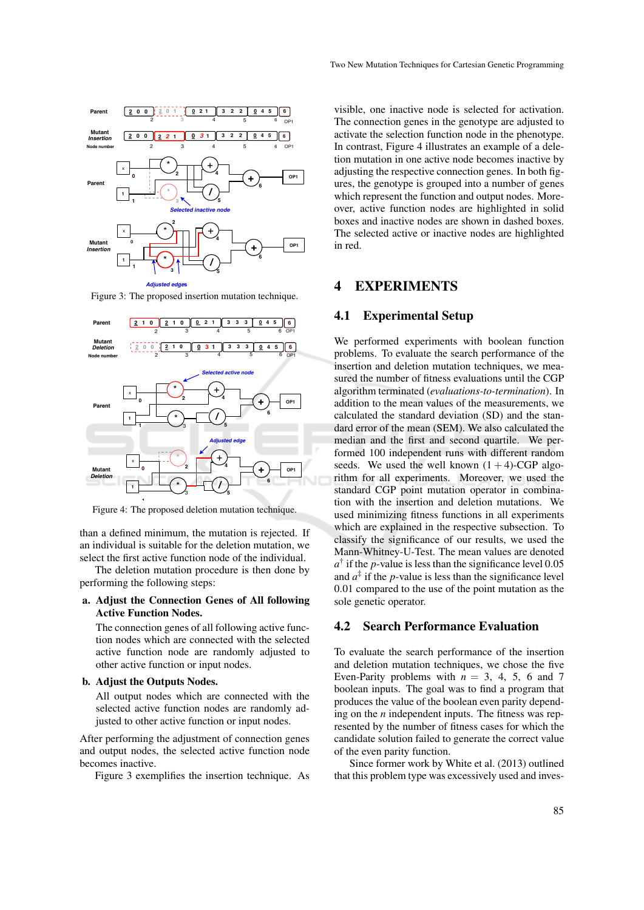

Figure 3: The proposed insertion mutation technique.



Figure 4: The proposed deletion mutation technique.

than a defined minimum, the mutation is rejected. If an individual is suitable for the deletion mutation, we select the first active function node of the individual.

The deletion mutation procedure is then done by performing the following steps:

#### a. Adjust the Connection Genes of All following Active Function Nodes.

The connection genes of all following active function nodes which are connected with the selected active function node are randomly adjusted to other active function or input nodes.

#### b. Adjust the Outputs Nodes.

All output nodes which are connected with the selected active function nodes are randomly adjusted to other active function or input nodes.

After performing the adjustment of connection genes and output nodes, the selected active function node becomes inactive.

Figure 3 exemplifies the insertion technique. As

visible, one inactive node is selected for activation. The connection genes in the genotype are adjusted to activate the selection function node in the phenotype. In contrast, Figure 4 illustrates an example of a deletion mutation in one active node becomes inactive by adjusting the respective connection genes. In both figures, the genotype is grouped into a number of genes which represent the function and output nodes. Moreover, active function nodes are highlighted in solid boxes and inactive nodes are shown in dashed boxes. The selected active or inactive nodes are highlighted in red.

## 4 EXPERIMENTS

## 4.1 Experimental Setup

We performed experiments with boolean function problems. To evaluate the search performance of the insertion and deletion mutation techniques, we measured the number of fitness evaluations until the CGP algorithm terminated (*evaluations-to-termination*). In addition to the mean values of the measurements, we calculated the standard deviation (SD) and the standard error of the mean (SEM). We also calculated the median and the first and second quartile. We performed 100 independent runs with different random seeds. We used the well known  $(1 + 4)$ -CGP algorithm for all experiments. Moreover, we used the standard CGP point mutation operator in combination with the insertion and deletion mutations. We used minimizing fitness functions in all experiments which are explained in the respective subsection. To classify the significance of our results, we used the Mann-Whitney-U-Test. The mean values are denoted  $a^{\dagger}$  if the *p*-value is less than the significance level 0.05 and  $a^{\ddagger}$  if the *p*-value is less than the significance level 0.01 compared to the use of the point mutation as the sole genetic operator.

## 4.2 Search Performance Evaluation

To evaluate the search performance of the insertion and deletion mutation techniques, we chose the five Even-Parity problems with  $n = 3, 4, 5, 6$  and 7 boolean inputs. The goal was to find a program that produces the value of the boolean even parity depending on the *n* independent inputs. The fitness was represented by the number of fitness cases for which the candidate solution failed to generate the correct value of the even parity function.

Since former work by White et al. (2013) outlined that this problem type was excessively used and inves-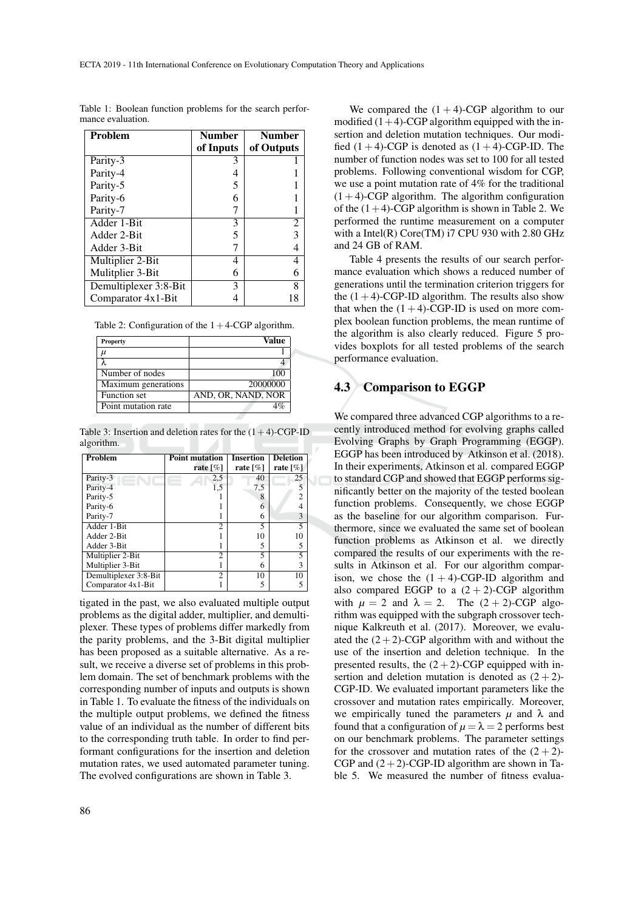| <b>Problem</b>        | <b>Number</b> | <b>Number</b> |
|-----------------------|---------------|---------------|
|                       | of Inputs     | of Outputs    |
| Parity-3              | 3             |               |
| Parity-4              |               |               |
| Parity-5              |               |               |
| Parity-6              | 6             |               |
| Parity-7              |               |               |
| Adder 1-Bit           | 3             | 2             |
| Adder 2-Bit           | 5             | 3             |
| Adder 3-Bit           |               | 4             |
| Multiplier 2-Bit      |               | 4             |
| Mulitplier 3-Bit      | 6             | 6             |
| Demultiplexer 3:8-Bit | 3             | 8             |
| Comparator 4x1-Bit    |               | 18            |

Table 1: Boolean function problems for the search performance evaluation.

|  | Table 2: Configuration of the $1+4$ -CGP algorithm. |  |  |  |
|--|-----------------------------------------------------|--|--|--|
|--|-----------------------------------------------------|--|--|--|

| Property            | Value              |
|---------------------|--------------------|
| μ                   |                    |
|                     |                    |
| Number of nodes     | 1 OC               |
| Maximum generations | 20000000           |
| Function set        | AND, OR, NAND, NOR |
| Point mutation rate |                    |

Table 3: Insertion and deletion rates for the  $(1+4)$ -CGP-ID algorithm.

| Problem               | <b>Point mutation</b>       | <b>Insertion</b>        | <b>Deletion</b>         |
|-----------------------|-----------------------------|-------------------------|-------------------------|
|                       | rate $\lceil \% \rceil$     | rate $\lceil \% \rceil$ | rate $\lceil \% \rceil$ |
| Parity-3              | 2,5                         | 40                      | 25                      |
| Parity-4              | 1,5                         | 7,5                     |                         |
| Parity-5              |                             | 8                       | 2                       |
| Parity-6              |                             | 6                       | 4                       |
| Parity-7              |                             | 6                       | 3                       |
| Adder 1-Bit           | $\mathcal{D}_{\mathcal{A}}$ | 5                       | 5                       |
| Adder 2-Bit           |                             | 10                      | 10                      |
| Adder 3-Bit           |                             | 5                       | 5                       |
| Multiplier 2-Bit      | 2                           | 5                       | 5                       |
| Multiplier 3-Bit      |                             | 6                       | 3                       |
| Demultiplexer 3:8-Bit | $\mathcal{D}$               | 10                      | 10                      |
| Comparator $4x1-Bit$  |                             |                         | 5                       |

tigated in the past, we also evaluated multiple output problems as the digital adder, multiplier, and demultiplexer. These types of problems differ markedly from the parity problems, and the 3-Bit digital multiplier has been proposed as a suitable alternative. As a result, we receive a diverse set of problems in this problem domain. The set of benchmark problems with the corresponding number of inputs and outputs is shown in Table 1. To evaluate the fitness of the individuals on the multiple output problems, we defined the fitness value of an individual as the number of different bits to the corresponding truth table. In order to find performant configurations for the insertion and deletion mutation rates, we used automated parameter tuning. The evolved configurations are shown in Table 3.

86

We compared the  $(1 + 4)$ -CGP algorithm to our modified  $(1+4)$ -CGP algorithm equipped with the insertion and deletion mutation techniques. Our modified  $(1 + 4)$ -CGP is denoted as  $(1 + 4)$ -CGP-ID. The number of function nodes was set to 100 for all tested problems. Following conventional wisdom for CGP, we use a point mutation rate of 4% for the traditional  $(1 + 4)$ -CGP algorithm. The algorithm configuration of the  $(1+4)$ -CGP algorithm is shown in Table 2. We performed the runtime measurement on a computer with a Intel(R) Core(TM) i7 CPU 930 with 2.80 GHz and 24 GB of RAM.

Table 4 presents the results of our search performance evaluation which shows a reduced number of generations until the termination criterion triggers for the  $(1+4)$ -CGP-ID algorithm. The results also show that when the  $(1 + 4)$ -CGP-ID is used on more complex boolean function problems, the mean runtime of the algorithm is also clearly reduced. Figure 5 provides boxplots for all tested problems of the search performance evaluation.

### 4.3 Comparison to EGGP

We compared three advanced CGP algorithms to a recently introduced method for evolving graphs called Evolving Graphs by Graph Programming (EGGP). EGGP has been introduced by Atkinson et al. (2018). In their experiments, Atkinson et al. compared EGGP to standard CGP and showed that EGGP performs significantly better on the majority of the tested boolean function problems. Consequently, we chose EGGP as the baseline for our algorithm comparison. Furthermore, since we evaluated the same set of boolean function problems as Atkinson et al. we directly compared the results of our experiments with the results in Atkinson et al. For our algorithm comparison, we chose the  $(1 + 4)$ -CGP-ID algorithm and also compared EGGP to a  $(2 + 2)$ -CGP algorithm with  $\mu = 2$  and  $\lambda = 2$ . The  $(2 + 2)$ -CGP algorithm was equipped with the subgraph crossover technique Kalkreuth et al. (2017). Moreover, we evaluated the  $(2+2)$ -CGP algorithm with and without the use of the insertion and deletion technique. In the presented results, the  $(2 + 2)$ -CGP equipped with insertion and deletion mutation is denoted as  $(2 + 2)$ -CGP-ID. We evaluated important parameters like the crossover and mutation rates empirically. Moreover, we empirically tuned the parameters  $\mu$  and  $\lambda$  and found that a configuration of  $\mu = \lambda = 2$  performs best on our benchmark problems. The parameter settings for the crossover and mutation rates of the  $(2 + 2)$ -CGP and  $(2+2)$ -CGP-ID algorithm are shown in Table 5. We measured the number of fitness evalua-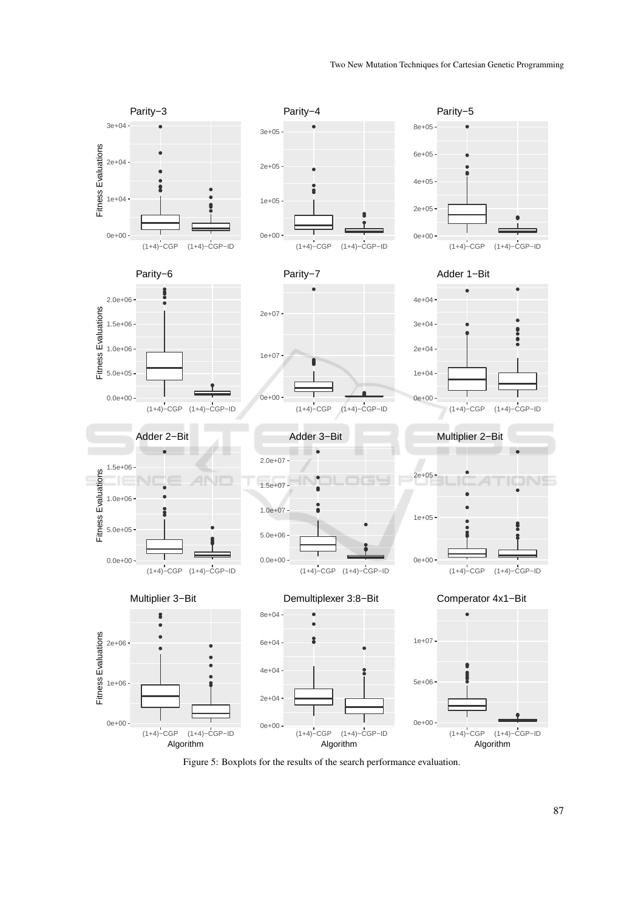

Figure 5: Boxplots for the results of the search performance evaluation.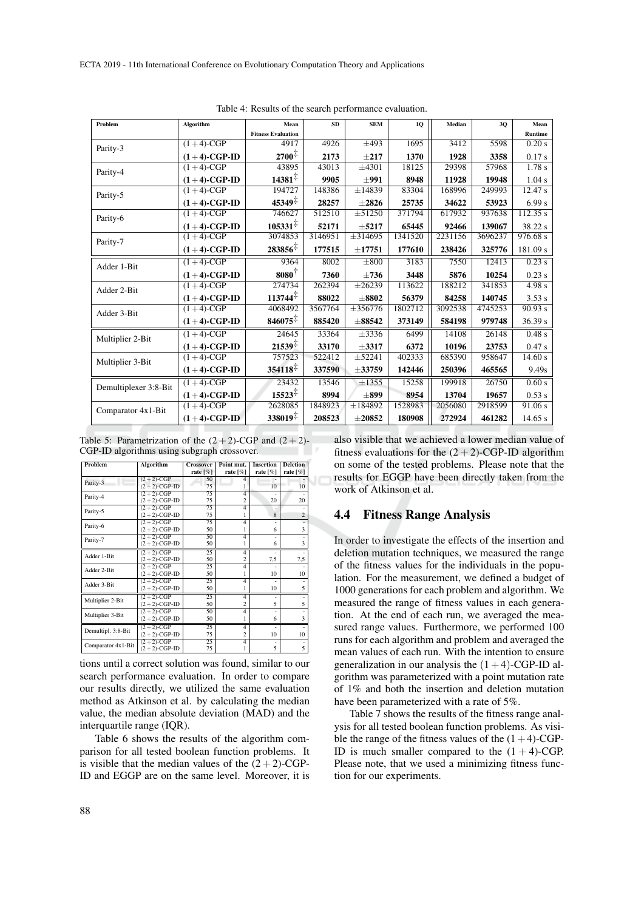| Problem               | Algorithm       | Mean                      | SD      | <b>SEM</b>            | 1Q      | Median  | 30      | Mean             |
|-----------------------|-----------------|---------------------------|---------|-----------------------|---------|---------|---------|------------------|
|                       |                 | <b>Fitness Evaluation</b> |         |                       |         |         |         | Runtime          |
| Parity-3              | $(1+4)$ -CGP    | 4917                      | 4926    | $\pm 493$             | 1695    | 3412    | 5598    | 0.20 s           |
|                       | $(1+4)$ -CGP-ID | $2700^{\ddagger}$         | 2173    | $\pm 217$             | 1370    | 1928    | 3358    | 0.17 s           |
| Parity-4              | $(1+4)$ -CGP    | 43895                     | 43013   | $\overline{\pm 4301}$ | 18125   | 29398   | 57968   | 1.78 s           |
|                       | $(1+4)$ -CGP-ID | $14381^{\ddagger}$        | 9905    | $+991$                | 8948    | 11928   | 19948   | 1.04 s           |
| Parity-5              | $(1+4)$ -CGP    | 194727                    | 148386  | ±14839                | 83304   | 168996  | 249993  | $\sqrt{12.47}$ s |
|                       | $(1+4)$ -CGP-ID | $45349^{\ddagger}$        | 28257   | $\pm 2826$            | 25735   | 34622   | 53923   | 6.99 s           |
| Parity-6              | $(1+4)$ -CGP    | 746627                    | 512510  | $\pm 51250$           | 371794  | 617932  | 937638  | 112.35 s         |
|                       | $(1+4)$ -CGP-ID | $105331^{\frac{1}{4}}$    | 52171   | $+5217$               | 65445   | 92466   | 139067  | 38.22 s          |
| Parity-7              | $(1+4)$ -CGP    | 3074853                   | 3146951 | $\pm$ 314695          | 1341520 | 2231156 | 3696237 | 976.68 s         |
|                       | $(1+4)$ -CGP-ID | $283856^{\frac{1}{4}}$    | 177515  | $\pm 17751$           | 177610  | 238426  | 325776  | 181.09 s         |
| Adder 1-Bit           | $(1+4)$ -CGP    | 9364                      | 8002    | $\pm 800$             | 3183    | 7550    | 12413   | 0.23 s           |
|                       | $(1+4)$ -CGP-ID | $8080^{\frac{1}{1}}$      | 7360    | $\pm 736$             | 3448    | 5876    | 10254   | $0.23$ s         |
| Adder 2-Bit           | $(1+4)$ -CGP    | 274734                    | 262394  | ±26239                | 113622  | 188212  | 341853  | 4.98 s           |
|                       | $(1+4)$ -CGP-ID | $113744^{\ddagger}$       | 88022   | $\pm 8802$            | 56379   | 84258   | 140745  | 3.53 s           |
| Adder 3-Bit           | $(1+4)$ -CGP    | 4068492                   | 3567764 | $\pm 356776$          | 1802712 | 3092538 | 4745253 | 90.93 s          |
|                       | $(1+4)$ -CGP-ID | $846075^{\frac{1}{4}}$    | 885420  | $\pm 88542$           | 373149  | 584198  | 979748  | 36.39 s          |
| Multiplier 2-Bit      | $(1+4)$ -CGP    | 24645                     | 33364   | $\pm$ 3336            | 6499    | 14108   | 26148   | 0.48 s           |
|                       | $(1+4)$ -CGP-ID | $21539^{\ddagger}$        | 33170   | $\pm 3317$            | 6372    | 10196   | 23753   | 0.47 s           |
| Multiplier 3-Bit      | $(1+4)$ -CGP    | 757523                    | 522412  | $\pm 52241$           | 402333  | 685390  | 958647  | 14.60 s          |
|                       | $(1+4)$ -CGP-ID | $354118^{\ddagger}$       | 337590  | $\pm 33759$           | 142446  | 250396  | 465565  | 9.49s            |
| Demultiplexer 3:8-Bit | $(1+4)$ -CGP    | 23432                     | 13546   | ±1355                 | 15258   | 199918  | 26750   | 0.60 s           |
|                       | $(1+4)$ -CGP-ID | $15523^{\ddagger}$        | 8994    | $\pm 899$             | 8954    | 13704   | 19657   | 0.53 s           |
| Comparator 4x1-Bit    | $(1+4)-CGP$     | 2628085                   | 1848923 | $\pm 184892$          | 1528983 | 2056080 | 2918599 | 91.06 s          |
|                       | $(1+4)$ -CGP-ID | $338019^{\ddagger}$       | 208523  | $\pm 20852$           | 180908  | 272924  | 461282  | 14.65 s          |

Table 4: Results of the search performance evaluation.

Table 5: Parametrization of the  $(2 + 2)$ -CGP and  $(2 + 2)$ -CGP-ID algorithms using subgraph crossover.

| <b>Problem</b>     | Algorithm       | <b>Crossover</b> | Point mut.     | <b>Insertion</b> | <b>Deletion</b> |
|--------------------|-----------------|------------------|----------------|------------------|-----------------|
|                    |                 | rate $[\%]$      | rate $[\%]$    | rate $[\%]$      | rate [%]        |
| Parity-3           | $(2+2)$ -CGP    | 50               | 4              |                  |                 |
|                    | $(2+2)$ -CGP-ID | 75               |                | 10               | 10              |
| Parity-4           | $(2+2)$ -CGP    | 75               | $\overline{4}$ |                  |                 |
|                    | $(2+2)$ -CGP-ID | 75               | $\overline{c}$ | 20               | 20              |
| Parity-5           | $(2+2)$ -CGP    | 75               | 4              |                  |                 |
|                    | $(2+2)$ -CGP-ID | 75               |                | 8                | $\overline{2}$  |
| Parity-6           | $(2+2)$ -CGP    | 75               | 4              |                  |                 |
|                    | $(2+2)$ -CGP-ID | 50               | 1              | 6                | 3               |
| Parity-7           | $(2+2)$ -CGP    | 50               | 4              |                  |                 |
|                    | $(2+2)$ -CGP-ID | 50               | 1              | 6                | 3               |
| Adder 1-Bit        | $(2+2)$ -CGP    | 25               | 4              |                  |                 |
|                    | $(2+2)$ -CGP-ID | 50               | $\overline{2}$ | 7,5              | 7.5             |
| Adder 2-Bit        | $(2+2)$ -CGP    | 25               | 4              |                  |                 |
|                    | $(2+2)$ -CGP-ID | 50               | 1              | 10               | 10              |
| Adder 3-Bit        | $(2+2)$ -CGP    | 25               | 4              |                  |                 |
|                    | $(2+2)$ -CGP-ID | 50               | 1              | 10               | 5               |
| Multiplier 2-Bit   | $(2+2)$ -CGP    | 25               | 4              |                  |                 |
|                    | $(2+2)$ -CGP-ID | 50               | $\overline{c}$ | 5                | 5               |
|                    | $(2+2)$ -CGP    | 50               | $\overline{4}$ | ٠                |                 |
| Multiplier 3-Bit   | $(2+2)$ -CGP-ID | 50               | 1              | 6                | 3               |
| Demultipl. 3:8-Bit | $(2+2)$ -CGP    | 25               | 4              |                  |                 |
|                    | $(2+2)$ -CGP-ID | 75               | $\overline{c}$ | 10               | 10              |
| Comparator 4x1-Bit | $(2+2)$ -CGP    | 25               | 4              |                  |                 |
|                    | $(2+2)$ -CGP-ID | 75               | 1              | 5                | 5               |

tions until a correct solution was found, similar to our search performance evaluation. In order to compare our results directly, we utilized the same evaluation method as Atkinson et al. by calculating the median value, the median absolute deviation (MAD) and the interquartile range (IQR).

Table 6 shows the results of the algorithm comparison for all tested boolean function problems. It is visible that the median values of the  $(2 + 2)$ -CGP-ID and EGGP are on the same level. Moreover, it is also visible that we achieved a lower median value of fitness evaluations for the  $(2+2)$ -CGP-ID algorithm on some of the tested problems. Please note that the results for EGGP have been directly taken from the work of Atkinson et al.

## 4.4 Fitness Range Analysis

In order to investigate the effects of the insertion and deletion mutation techniques, we measured the range of the fitness values for the individuals in the population. For the measurement, we defined a budget of 1000 generations for each problem and algorithm. We measured the range of fitness values in each generation. At the end of each run, we averaged the measured range values. Furthermore, we performed 100 runs for each algorithm and problem and averaged the mean values of each run. With the intention to ensure generalization in our analysis the  $(1+4)$ -CGP-ID algorithm was parameterized with a point mutation rate of 1% and both the insertion and deletion mutation have been parameterized with a rate of 5%.

Table 7 shows the results of the fitness range analysis for all tested boolean function problems. As visible the range of the fitness values of the  $(1+4)$ -CGP-ID is much smaller compared to the  $(1 + 4)$ -CGP. Please note, that we used a minimizing fitness function for our experiments.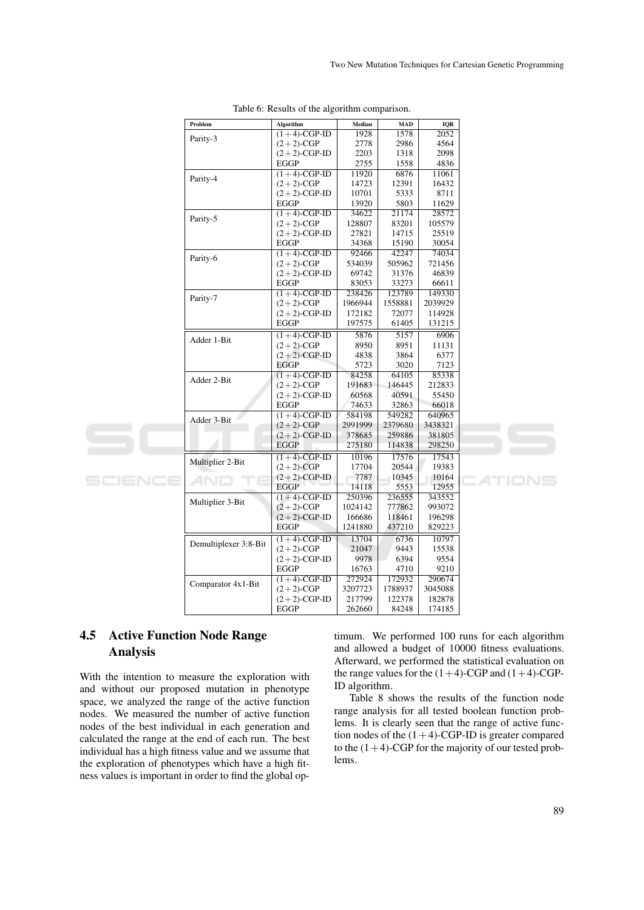| Problem               | <b>Algorithm</b>                | Median            | MAD              | <b>IQR</b>        |  |
|-----------------------|---------------------------------|-------------------|------------------|-------------------|--|
| Parity-3              | $(1+4)$ -CGP-ID                 | 1928              | 1578             | 2052              |  |
|                       | $(2+2)$ -CGP                    | 2778              | 2986             | 4564              |  |
|                       | $(2+2)$ -CGP-ID                 | 2203              | 1318             | 2098              |  |
|                       | <b>EGGP</b>                     | 2755              | 1558             | 4836              |  |
| Parity-4              | $(1+4)$ -CGP-ID                 | 11920             | 6876             | 11061             |  |
|                       | $(2+2)$ -CGP                    | 14723             | 12391            | 16432             |  |
|                       | $(2+2)$ -CGP-ID                 | 10701             | 5333             | 8711              |  |
|                       | <b>EGGP</b>                     | 13920             | 5803             | 11629             |  |
| Parity-5              | $(1+4)$ -CGP-ID                 | 34622             | 21174            | 28572             |  |
|                       | $(2+2)$ -CGP                    | 128807            | 83201            | 105579            |  |
|                       | $(2+2)$ -CGP-ID                 | 27821             | 14715            | 25519             |  |
|                       | <b>EGGP</b>                     | 34368             | 15190            | 30054             |  |
| Parity-6              | $(1+4)$ -CGP-ID                 | 92466             | 42247            | 74034             |  |
|                       | $(2+2)$ -CGP                    | 534039            | 505962           | 721456            |  |
|                       | $(2+2)$ -CGP-ID                 | 69742             | 31376            | 46839             |  |
|                       | <b>EGGP</b>                     | 83053             | 33273            | 66611             |  |
| Parity-7              | $(1+4)$ -CGP-ID                 | 238426            | 123789           | 149330            |  |
|                       | $(2+2)$ -CGP<br>$(2+2)$ -CGP-ID | 1966944<br>172182 | 1558881<br>72077 | 2039929<br>114928 |  |
|                       | <b>EGGP</b>                     | 197575            | 61405            | 131215            |  |
|                       |                                 |                   |                  |                   |  |
| Adder 1-Bit           | $(1+4)$ -CGP-ID                 | 5876              | 5157             | 6906              |  |
|                       | $(2+2)$ -CGP                    | 8950              | 8951             | 11131             |  |
|                       | $(2+2)$ -CGP-ID<br><b>EGGP</b>  | 4838<br>5723      | 3864<br>3020     | 6377<br>7123      |  |
|                       |                                 |                   |                  |                   |  |
| Adder 2-Bit           | $(1+4)$ -CGP-ID<br>$(2+2)$ -CGP | 84258<br>191683   | 64105<br>146445  | 85338<br>212833   |  |
|                       | $(2+2)$ -CGP-ID                 | 60568             | 40591            | 55450             |  |
|                       | <b>EGGP</b>                     | 74633             | 32863            | 66018             |  |
|                       | $(1+4)$ -CGP-ID                 | 584198            | 549282           | 640965            |  |
| Adder 3-Bit           | $(2+2)$ -CGP                    | 2991999           | 2379680          | 3438321           |  |
|                       | $(2+2)$ -CGP-ID                 | 378685            | 259886           | 381805            |  |
|                       | <b>EGGP</b>                     | 275180            | 114838           | 298250            |  |
|                       | $(1+4)$ -CGP-ID                 | 10196             | 17576            | 17543             |  |
| Multiplier 2-Bit      | $(2+2)$ -CGP                    | 17704             | 20544            | 19383             |  |
|                       | $(2+2)$ -CGP-ID                 | 7787              | 10345            | 10164             |  |
|                       | <b>EGGP</b>                     | 14118             | 5553             | 12955             |  |
|                       | $(1+4)$ -CGP-ID                 | 250396            | 236555           | 343552            |  |
| Multiplier 3-Bit      | $(2+2)$ -CGP                    | 1024142           | 777862           | 993072            |  |
|                       | $(2+2)$ -CGP-ID                 | 166686            | 118461           | 196298            |  |
|                       | <b>EGGP</b>                     | 1241880           | 437210           | 829223            |  |
|                       | $(1+4)$ -CGP-ID                 | 13704             | 6736             | 10797             |  |
| Demultiplexer 3:8-Bit | $(2+2)$ -CGP                    | 21047             | 9443             | 15538             |  |
|                       | $(2+2)$ -CGP-ID                 | 9978              | 6394             | 9554              |  |
|                       | <b>EGGP</b>                     | 16763             | 4710             | 9210              |  |
|                       | $(1+4)$ -CGP-ID                 | 272924            | 172932           | 290674            |  |
| Comparator 4x1-Bit    | $(2+2)$ -CGP                    | 3207723           | 1788937          | 3045088           |  |
|                       | $(2+2)$ -CGP-ID                 | 217799            | 122378           | 182878            |  |
|                       | <b>EGGP</b>                     | 262660            | 84248            | 174185            |  |
|                       |                                 |                   |                  |                   |  |

Table 6: Results of the algorithm comparison.

# 4.5 Active Function Node Range Analysis

With the intention to measure the exploration with and without our proposed mutation in phenotype space, we analyzed the range of the active function nodes. We measured the number of active function nodes of the best individual in each generation and calculated the range at the end of each run. The best individual has a high fitness value and we assume that the exploration of phenotypes which have a high fitness values is important in order to find the global optimum. We performed 100 runs for each algorithm and allowed a budget of 10000 fitness evaluations. Afterward, we performed the statistical evaluation on the range values for the  $(1+4)$ -CGP and  $(1+4)$ -CGP-ID algorithm.

Table 8 shows the results of the function node range analysis for all tested boolean function problems. It is clearly seen that the range of active function nodes of the  $(1+4)$ -CGP-ID is greater compared to the  $(1+4)$ -CGP for the majority of our tested problems.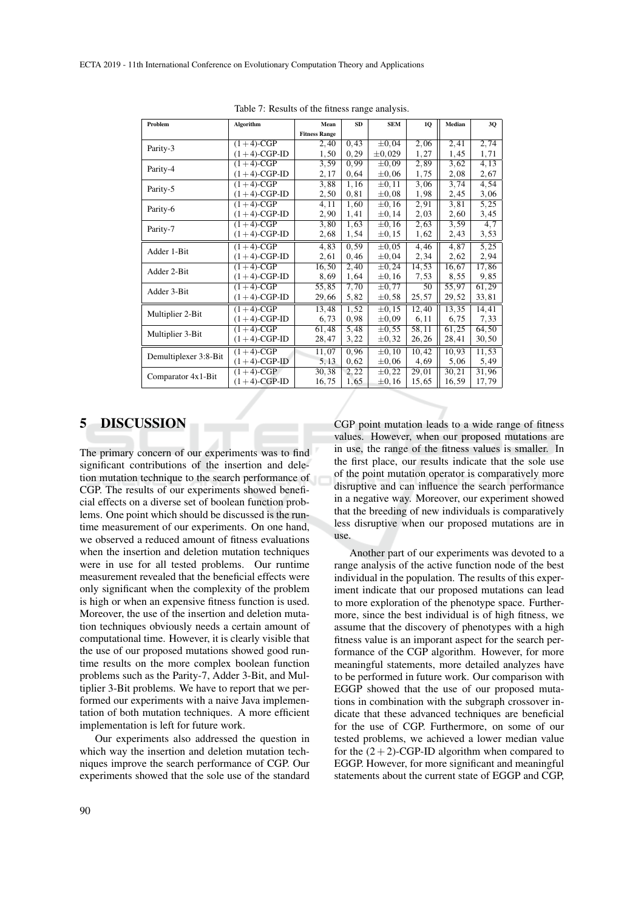| Problem               | Algorithm       | Mean                 | <b>SD</b> | <b>SEM</b>  | 1Q    | Median | 3Q    |
|-----------------------|-----------------|----------------------|-----------|-------------|-------|--------|-------|
|                       |                 | <b>Fitness Range</b> |           |             |       |        |       |
| Parity-3              | $(1+4)$ -CGP    | 2,40                 | 0,43      | $\pm 0.04$  | 2,06  | 2,41   | 2,74  |
|                       | $(1+4)$ -CGP-ID | 1,50                 | 0, 29     | $\pm 0.029$ | 1,27  | 1,45   | 1,71  |
| Parity-4              | $(1+4)$ -CGP    | 3.59                 | 0.99      | $\pm 0.09$  | 2,89  | 3,62   | 4,13  |
|                       | $(1+4)$ -CGP-ID | 2,17                 | 0,64      | $\pm 0.06$  | 1,75  | 2,08   | 2,67  |
| Parity-5              | $(1+4)$ -CGP    | 3,88                 | 1,16      | $\pm 0.11$  | 3,06  | 3,74   | 4,54  |
|                       | $(1+4)$ -CGP-ID | 2,50                 | 0,81      | $\pm 0.08$  | 1,98  | 2,45   | 3,06  |
| Parity-6              | $(1+4)$ -CGP    | 4,11                 | 1,60      | $\pm 0.16$  | 2,91  | 3,81   | 5,25  |
|                       | $(1+4)$ -CGP-ID | 2,90                 | 1,41      | $\pm 0, 14$ | 2,03  | 2,60   | 3,45  |
| Parity-7              | $(1+4)$ -CGP    | 3,80                 | 1,63      | $\pm 0.16$  | 2,63  | 3,59   | 4,7   |
|                       | $(1+4)$ -CGP-ID | 2,68                 | 1,54      | $\pm 0.15$  | 1,62  | 2,43   | 3,53  |
| Adder 1-Bit           | $(1+4)$ -CGP    | 4,83                 | 0.59      | $\pm 0.05$  | 4,46  | 4,87   | 5,25  |
|                       | $(1+4)$ -CGP-ID | 2,61                 | 0,46      | $\pm 0.04$  | 2,34  | 2,62   | 2,94  |
| Adder 2-Bit           | $(1+4)$ -CGP    | 16,50                | 2,40      | $\pm 0.24$  | 14,53 | 16,67  | 17,86 |
|                       | $(1+4)$ -CGP-ID | 8,69                 | 1,64      | $\pm 0.16$  | 7,53  | 8,55   | 9,85  |
| Adder 3-Bit           | $(1+4)$ -CGP    | 55,85                | 7,70      | $\pm 0.77$  | 50    | 55,97  | 61,29 |
|                       | $(1+4)$ -CGP-ID | 29,66                | 5,82      | $\pm 0,58$  | 25,57 | 29,52  | 33,81 |
|                       | $(1+4)$ -CGP    | 13,48                | 1,52      | $\pm 0.15$  | 12,40 | 13,35  | 14,41 |
| Multiplier 2-Bit      | $(1+4)$ -CGP-ID | 6,73                 | 0.98      | $\pm 0.09$  | 6,11  | 6,75   | 7,33  |
|                       | $(1+4)$ -CGP    | 61,48                | 5,48      | $\pm 0.55$  | 58,11 | 61,25  | 64,50 |
| Multiplier 3-Bit      | $(1+4)$ -CGP-ID | 28,47                | 3,22      | $\pm 0,32$  | 26,26 | 28,41  | 30,50 |
|                       | $(1+4)$ -CGP    | 11,07                | 0,96      | $\pm 0.10$  | 10,42 | 10,93  | 11,53 |
| Demultiplexer 3:8-Bit | $(1+4)$ -CGP-ID | 5,13                 | 0,62      | $\pm 0.06$  | 4,69  | 5,06   | 5,49  |
|                       | $(1+4)$ -CGP    | 30,38                | 2,22      | $\pm$ 0.22  | 29,01 | 30,21  | 31,96 |
| Comparator 4x1-Bit    | $(1+4)$ -CGP-ID | 16,75                | 1,65      | $\pm 0, 16$ | 15,65 | 16,59  | 17,79 |

Table 7: Results of the fitness range analysis.

## 5 DISCUSSION

The primary concern of our experiments was to find significant contributions of the insertion and deletion mutation technique to the search performance of CGP. The results of our experiments showed beneficial effects on a diverse set of boolean function problems. One point which should be discussed is the runtime measurement of our experiments. On one hand, we observed a reduced amount of fitness evaluations when the insertion and deletion mutation techniques were in use for all tested problems. Our runtime measurement revealed that the beneficial effects were only significant when the complexity of the problem is high or when an expensive fitness function is used. Moreover, the use of the insertion and deletion mutation techniques obviously needs a certain amount of computational time. However, it is clearly visible that the use of our proposed mutations showed good runtime results on the more complex boolean function problems such as the Parity-7, Adder 3-Bit, and Multiplier 3-Bit problems. We have to report that we performed our experiments with a naive Java implementation of both mutation techniques. A more efficient implementation is left for future work.

Our experiments also addressed the question in which way the insertion and deletion mutation techniques improve the search performance of CGP. Our experiments showed that the sole use of the standard CGP point mutation leads to a wide range of fitness values. However, when our proposed mutations are in use, the range of the fitness values is smaller. In the first place, our results indicate that the sole use of the point mutation operator is comparatively more disruptive and can influence the search performance in a negative way. Moreover, our experiment showed that the breeding of new individuals is comparatively less disruptive when our proposed mutations are in use.

Another part of our experiments was devoted to a range analysis of the active function node of the best individual in the population. The results of this experiment indicate that our proposed mutations can lead to more exploration of the phenotype space. Furthermore, since the best individual is of high fitness, we assume that the discovery of phenotypes with a high fitness value is an imporant aspect for the search performance of the CGP algorithm. However, for more meaningful statements, more detailed analyzes have to be performed in future work. Our comparison with EGGP showed that the use of our proposed mutations in combination with the subgraph crossover indicate that these advanced techniques are beneficial for the use of CGP. Furthermore, on some of our tested problems, we achieved a lower median value for the  $(2+2)$ -CGP-ID algorithm when compared to EGGP. However, for more significant and meaningful statements about the current state of EGGP and CGP,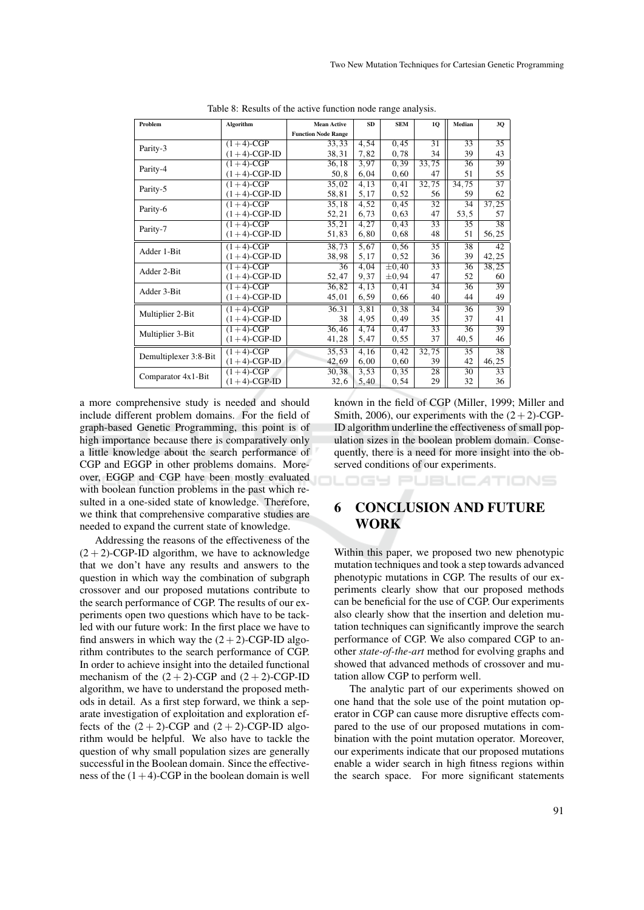| Problem               | Algorithm       | <b>Mean Active</b>         | <b>SD</b> | <b>SEM</b> | 10    | Median          | 3Q              |
|-----------------------|-----------------|----------------------------|-----------|------------|-------|-----------------|-----------------|
|                       |                 | <b>Function Node Range</b> |           |            |       |                 |                 |
| Parity-3              | $(1+4)$ -CGP    | 33,33                      | 4,54      | 0,45       | 31    | 33              | 35              |
|                       | $(1+4)$ -CGP-ID | 38,31                      | 7,82      | 0,78       | 34    | 39              | 43              |
| Parity-4              | $(1+4)$ -CGP    | 36,18                      | 3,97      | 0.39       | 33,75 | 36              | 39              |
|                       | $(1+4)$ -CGP-ID | 50,8                       | 6,04      | 0,60       | 47    | 51              | 55              |
| Parity-5              | $(1+4)$ -CGP    | 35,02                      | 4,13      | 0,41       | 32,75 | 34,75           | $\overline{37}$ |
|                       | $(1+4)$ -CGP-ID | 58,81                      | 5,17      | 0, 52      | 56    | 59              | 62              |
| Parity-6              | $(1+4)$ -CGP    | 35,18                      | 4,52      | 0,45       | 32    | $\overline{34}$ | 37, 25          |
|                       | $(1+4)$ -CGP-ID | 52,21                      | 6,73      | 0,63       | 47    | 53,5            | 57              |
| Parity-7              | $(1+4)$ -CGP    | 35,21                      | 4,27      | 0,43       | 33    | 35              | 38              |
|                       | $(1+4)$ -CGP-ID | 51,83                      | 6,80      | 0,68       | 48    | 51              | 56,25           |
| Adder 1-Bit           | $(1+4)-CGP$     | 38,73                      | 5.67      | 0.56       | 35    | 38              | 42              |
|                       | $(1+4)$ -CGP-ID | 38,98                      | 5,17      | 0, 52      | 36    | 39              | 42,25           |
| Adder 2-Bit           | $(1+4)$ -CGP    | 36                         | 4,04      | $\pm 0.40$ | 33    | 36              | 38,25           |
|                       | $(1+4)$ -CGP-ID | 52,47                      | 9,37      | $\pm 0.94$ | 47    | 52              | 60              |
| Adder 3-Bit           | $(1+4)-CGP$     | 36,82                      | 4,13      | 0,41       | 34    | 36              | 39              |
|                       | $(1+4)$ -CGP-ID | 45,01                      | 6,59      | 0,66       | 40    | 44              | 49              |
| Multiplier 2-Bit      | $(1+4)-CGP$     | 36.31                      | 3.81      | 0,38       | 34    | 36              | 39              |
|                       | $(1+4)$ -CGP-ID | 38                         | 4,95      | 0,49       | 35    | 37              | 41              |
|                       | $(1+4)-CGP$     | 36,46                      | 4,74      | 0,47       | 33    | 36              | 39              |
| Multiplier 3-Bit      | $(1+4)$ -CGP-ID | 41,28                      | 5,47      | 0, 55      | 37    | 40, 5           | 46              |
|                       | $(1+4)-CGP$     | 35.53                      | 4,16      | 0.42       | 32,75 | 35              | 38              |
| Demultiplexer 3:8-Bit | $(1+4)$ -CGP-ID | 42,69                      | 6,00      | 0,60       | 39    | 42              | 46,25           |
| Comparator 4x1-Bit    | $(1+4)$ -CGP    | 30, 38                     | 3.53      | 0.35       | 28    | 30              | 33              |
|                       | $(1+4)$ -CGP-ID | 32,6                       | 5,40      | 0, 54      | 29    | 32              | 36              |
|                       |                 |                            |           |            |       |                 |                 |

Table 8: Results of the active function node range analysis.

a more comprehensive study is needed and should include different problem domains. For the field of graph-based Genetic Programming, this point is of high importance because there is comparatively only a little knowledge about the search performance of CGP and EGGP in other problems domains. Moreover, EGGP and CGP have been mostly evaluated with boolean function problems in the past which resulted in a one-sided state of knowledge. Therefore, we think that comprehensive comparative studies are needed to expand the current state of knowledge.

Addressing the reasons of the effectiveness of the  $(2 + 2)$ -CGP-ID algorithm, we have to acknowledge that we don't have any results and answers to the question in which way the combination of subgraph crossover and our proposed mutations contribute to the search performance of CGP. The results of our experiments open two questions which have to be tackled with our future work: In the first place we have to find answers in which way the  $(2+2)$ -CGP-ID algorithm contributes to the search performance of CGP. In order to achieve insight into the detailed functional mechanism of the  $(2 + 2)$ -CGP and  $(2 + 2)$ -CGP-ID algorithm, we have to understand the proposed methods in detail. As a first step forward, we think a separate investigation of exploitation and exploration effects of the  $(2 + 2)$ -CGP and  $(2 + 2)$ -CGP-ID algorithm would be helpful. We also have to tackle the question of why small population sizes are generally successful in the Boolean domain. Since the effectiveness of the  $(1+4)$ -CGP in the boolean domain is well

known in the field of CGP (Miller, 1999; Miller and Smith, 2006), our experiments with the  $(2+2)$ -CGP-ID algorithm underline the effectiveness of small population sizes in the boolean problem domain. Consequently, there is a need for more insight into the observed conditions of our experiments.

JBLICATIONS

# 6 CONCLUSION AND FUTURE WORK

ופו ו-הו

Within this paper, we proposed two new phenotypic mutation techniques and took a step towards advanced phenotypic mutations in CGP. The results of our experiments clearly show that our proposed methods can be beneficial for the use of CGP. Our experiments also clearly show that the insertion and deletion mutation techniques can significantly improve the search performance of CGP. We also compared CGP to another *state-of-the-art* method for evolving graphs and showed that advanced methods of crossover and mutation allow CGP to perform well.

The analytic part of our experiments showed on one hand that the sole use of the point mutation operator in CGP can cause more disruptive effects compared to the use of our proposed mutations in combination with the point mutation operator. Moreover, our experiments indicate that our proposed mutations enable a wider search in high fitness regions within the search space. For more significant statements